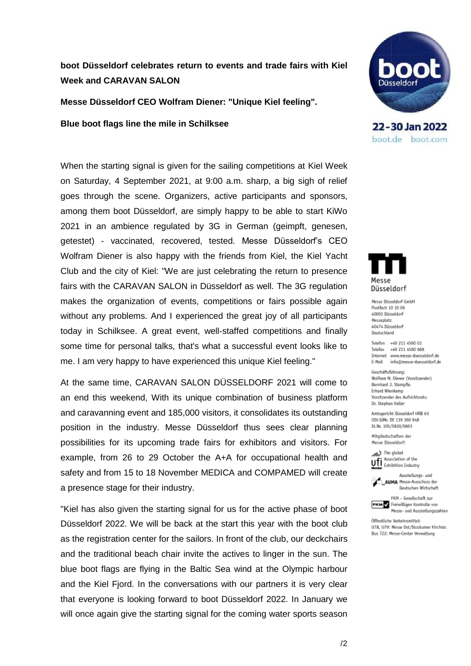## **boot Düsseldorf celebrates return to events and trade fairs with Kiel Week and CARAVAN SALON**

**Messe Düsseldorf CEO Wolfram Diener: "Unique Kiel feeling".**

**Blue boot flags line the mile in Schilksee**

When the starting signal is given for the sailing competitions at Kiel Week on Saturday, 4 September 2021, at 9:00 a.m. sharp, a big sigh of relief goes through the scene. Organizers, active participants and sponsors, among them boot Düsseldorf, are simply happy to be able to start KiWo 2021 in an ambience regulated by 3G in German (geimpft, genesen, getestet) - vaccinated, recovered, tested. Messe Düsseldorf's CEO Wolfram Diener is also happy with the friends from Kiel, the Kiel Yacht Club and the city of Kiel: "We are just celebrating the return to presence fairs with the CARAVAN SALON in Düsseldorf as well. The 3G regulation makes the organization of events, competitions or fairs possible again without any problems. And I experienced the great joy of all participants today in Schilksee. A great event, well-staffed competitions and finally some time for personal talks, that's what a successful event looks like to me. I am very happy to have experienced this unique Kiel feeling."

At the same time, CARAVAN SALON DÜSSELDORF 2021 will come to an end this weekend, With its unique combination of business platform and caravanning event and 185,000 visitors, it consolidates its outstanding position in the industry. Messe Düsseldorf thus sees clear planning possibilities for its upcoming trade fairs for exhibitors and visitors. For example, from 26 to 29 October the A+A for occupational health and safety and from 15 to 18 November MEDICA and COMPAMED will create a presence stage for their industry.

"Kiel has also given the starting signal for us for the active phase of boot Düsseldorf 2022. We will be back at the start this year with the boot club as the registration center for the sailors. In front of the club, our deckchairs and the traditional beach chair invite the actives to linger in the sun. The blue boot flags are flying in the Baltic Sea wind at the Olympic harbour and the Kiel Fjord. In the conversations with our partners it is very clear that everyone is looking forward to boot Düsseldorf 2022. In January we will once again give the starting signal for the coming water sports season



22-30 Jan 2022 boot.de boot.com



Messe Düsseldorf GmbH Postfach 10 10 06 40001 Düsseldorf Messeplatz 40474 Düsseldorf Deutschland

Telefon +49 211 4560 01 Telefax +49 211 4560 668 Internet www.messe-duesseldorf.de E-Mail info@messe-duesseldorf.de

Geschäftsführung: Wolfram N. Diener (Vorsitzender) Bernhard J. Stempfle Erhard Wienkamp Vorsitzender des Aufsichtsrats: Dr. Stephan Keller

Amtsgericht Düsseldorf HRB 63 USt-IdNr. DE 119 360 948 St.Nr. 105/5830/0663

Mitgliedschaften der Messe Düsseldorf:

> The global Association of the Ufi Association of the<br>**Member** Exhibition Industry



FKM - Gesellschaft zur



Öffentliche Verkehrsmittel: U78. U79: Messe Ost/Stockumer Kirchstr. Bus 722: Messe-Center Verwaltung